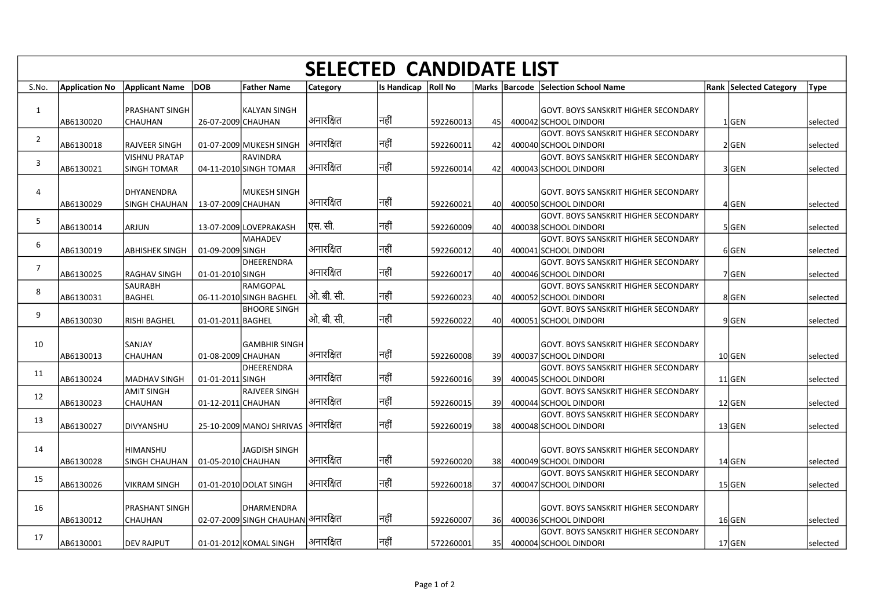|                         |                       |                                                       |                    |                                                  |                 | <b>SELECTED CANDIDATE LIST</b> |           |      |                                                                      |                               |             |
|-------------------------|-----------------------|-------------------------------------------------------|--------------------|--------------------------------------------------|-----------------|--------------------------------|-----------|------|----------------------------------------------------------------------|-------------------------------|-------------|
| S.No.                   | <b>Application No</b> | Applicant Name DOB                                    |                    | <b>Father Name</b>                               | <b>Category</b> | Is Handicap   Roll No          |           |      | Marks Barcode Selection School Name                                  | <b>Rank Selected Category</b> | <b>Type</b> |
| 1                       | AB6130020             | <b>PRASHANT SINGH</b><br><b>CHAUHAN</b>               | 26-07-2009 CHAUHAN | <b>KALYAN SINGH</b>                              | अनारक्षित       | नहीं                           | 592260013 | 45l  | <b>GOVT. BOYS SANSKRIT HIGHER SECONDARY</b><br>400042 SCHOOL DINDORI | $1$ GEN                       | selected    |
| $\overline{2}$          | AB6130018             | <b>RAJVEER SINGH</b>                                  |                    | 01-07-2009 MUKESH SINGH                          | अनारक्षित       | नहीं                           | 592260011 | 42   | GOVT. BOYS SANSKRIT HIGHER SECONDARY<br>400040 SCHOOL DINDORI        | 2 GEN                         | selected    |
| $\overline{\mathbf{3}}$ |                       | <b>VISHNU PRATAP</b>                                  |                    | <b>RAVINDRA</b>                                  | अनारक्षित       | नहीं                           |           |      | GOVT. BOYS SANSKRIT HIGHER SECONDARY                                 |                               |             |
|                         | AB6130021             | <b>SINGH TOMAR</b>                                    |                    | 04-11-2010 SINGH TOMAR                           |                 |                                | 592260014 | 42   | 400043 SCHOOL DINDORI                                                | 3 GEN                         | selected    |
| $\overline{4}$          | AB6130029             | DHYANENDRA<br>SINGH CHAUHAN   13-07-2009 CHAUHAN      |                    | MUKESH SINGH                                     | अनारक्षित       | नहीं                           | 592260021 | 40l  | GOVT. BOYS SANSKRIT HIGHER SECONDARY<br>400050 SCHOOL DINDORI        | 4 GEN                         | selected    |
| 5 <sup>5</sup>          |                       |                                                       |                    |                                                  |                 |                                |           |      | GOVT. BOYS SANSKRIT HIGHER SECONDARY                                 |                               |             |
|                         | AB6130014             | ARJUN                                                 |                    | 13-07-2009 LOVEPRAKASH<br>MAHADEV                | एस. सी.         | नहीं                           | 592260009 | 40   | 400038 SCHOOL DINDORI<br>GOVT. BOYS SANSKRIT HIGHER SECONDARY        | 5 GEN                         | selected    |
| 6                       | AB6130019             | <b>ABHISHEK SINGH</b>                                 | 01-09-2009 SINGH   |                                                  | अनारक्षित       | नहीं                           | 592260012 | 40l  | 400041 SCHOOL DINDORI                                                | $6$ GEN                       | selected    |
| $\overline{7}$          | AB6130025             | <b>RAGHAV SINGH</b>                                   | 01-01-2010 SINGH   | DHEERENDRA                                       | अनारक्षित       | नहीं                           | 592260017 | 40   | <b>GOVT. BOYS SANSKRIT HIGHER SECONDARY</b><br>400046 SCHOOL DINDORI | 7GEN                          | selected    |
| 8                       | AB6130031             | <b>SAURABH</b><br><b>BAGHEL</b>                       |                    | RAMGOPAL<br>06-11-2010 SINGH BAGHEL              | ओ. बी. सी.      | नहीं                           | 592260023 | 40l  | GOVT. BOYS SANSKRIT HIGHER SECONDARY<br>400052 SCHOOL DINDORI        | 8GEN                          | selected    |
| 9                       |                       |                                                       |                    | <b>BHOORE SINGH</b>                              |                 |                                |           |      | GOVT. BOYS SANSKRIT HIGHER SECONDARY                                 |                               |             |
|                         | AB6130030             | <b>RISHI BAGHEL</b>                                   | 01-01-2011 BAGHEL  |                                                  | ओ. बी. सी.      | नहीं                           | 592260022 | 40l  | 400051 SCHOOL DINDORI                                                | 9GEN                          | selected    |
| 10                      |                       | SANJAY                                                |                    | GAMBHIR SINGH                                    |                 |                                |           |      | GOVT. BOYS SANSKRIT HIGHER SECONDARY                                 |                               |             |
|                         | AB6130013             | <b>CHAUHAN</b>                                        | 01-08-2009 CHAUHAN | DHEERENDRA                                       | अनारक्षित       | नहीं                           | 592260008 | 39   | 400037 SCHOOL DINDORI<br>GOVT. BOYS SANSKRIT HIGHER SECONDARY        | $10$ GEN                      | selected    |
| 11                      | AB6130024             | MADHAV SINGH                                          | 01-01-2011 SINGH   |                                                  | अनारक्षित       | नहीं                           | 592260016 | -39l | 400045 SCHOOL DINDORI                                                | $11$ GEN                      | selected    |
| 12                      | AB6130023             | <b>AMIT SINGH</b><br>CHAUHAN                          | 01-12-2011 CHAUHAN | IRAJVEER SINGH                                   | अनारक्षित       | नहीं                           | 592260015 | -39l | GOVT. BOYS SANSKRIT HIGHER SECONDARY<br>400044 SCHOOL DINDORI        | $12$ GEN                      | selected    |
| 13                      | AB6130027             | DIVYANSHU                                             |                    | 25-10-2009 MANOJ SHRIVAS                         | अनारक्षित       | नहीं                           | 592260019 | 38   | GOVT. BOYS SANSKRIT HIGHER SECONDARY<br>400048 SCHOOL DINDORI        | $13$ GEN                      | selected    |
|                         |                       |                                                       |                    |                                                  |                 |                                |           |      |                                                                      |                               |             |
| 14                      | AB6130028             | <b>HIMANSHU</b><br>SINGH CHAUHAN   01-05-2010 CHAUHAN |                    | JAGDISH SINGH                                    | अनारक्षित       | नहीं                           | 592260020 | 38   | GOVT. BOYS SANSKRIT HIGHER SECONDARY<br>400049 SCHOOL DINDORI        | $14$ GEN                      | selected    |
| 15                      |                       |                                                       |                    |                                                  | अनारक्षित       | नहीं                           |           |      | GOVT. BOYS SANSKRIT HIGHER SECONDARY                                 |                               |             |
|                         | AB6130026             | <b>VIKRAM SINGH</b>                                   |                    | 01-01-2010 DOLAT SINGH                           |                 |                                | 592260018 | 37   | 400047 SCHOOL DINDORI                                                | $15$ GEN                      | selected    |
| 16                      | AB6130012             | <b>PRASHANT SINGH</b><br><b>CHAUHAN</b>               |                    | DHARMENDRA<br>02-07-2009 SINGH CHAUHAN अनारक्षित |                 | नहीं                           | 592260007 | 36   | GOVT. BOYS SANSKRIT HIGHER SECONDARY<br>400036 SCHOOL DINDORI        | 16GEN                         | selected    |
| 17                      |                       |                                                       |                    |                                                  |                 |                                |           |      | GOVT. BOYS SANSKRIT HIGHER SECONDARY                                 |                               |             |
|                         | AB6130001             | <b>DEV RAJPUT</b>                                     |                    | 01-01-2012 KOMAL SINGH                           | अनारक्षित       | नहीं                           | 572260001 | 35   | 400004 SCHOOL DINDORI                                                | $17$ GEN                      | selected    |